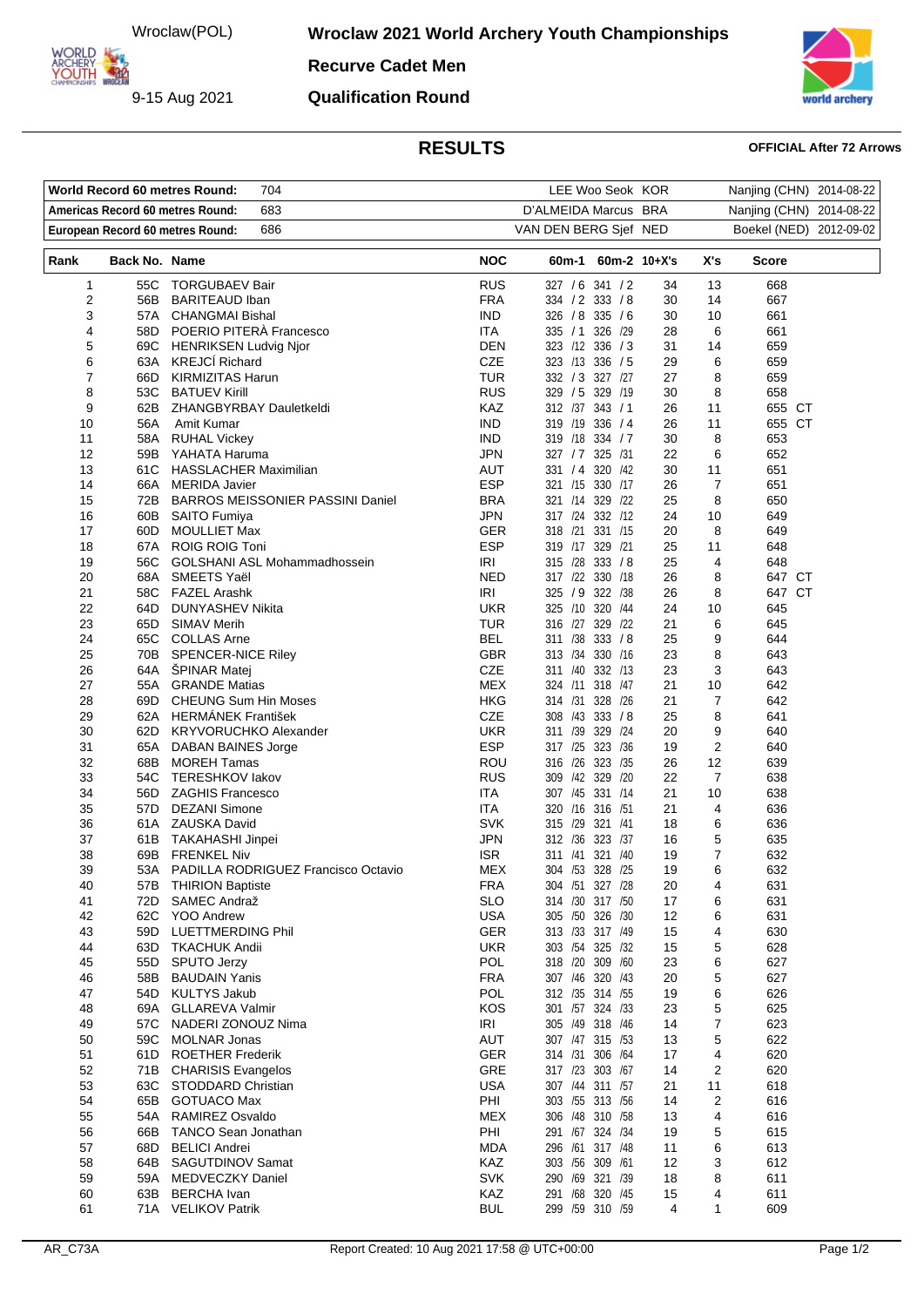Wroclaw(POL)

9-15 Aug 2021

**ARCHERY<br>YOUTH 422** 

**Wroclaw 2021 World Archery Youth Championships** 

**Recurve Cadet Men**

**Qualification Round**



# **RESULTS OFFICIAL After 72 Arrows**

|                                         |               | World Record 60 metres Round:<br>704               |                      | LEE Woo Seok KOR                    |          |                          | Nanjing (CHN) 2014-08-22 |  |
|-----------------------------------------|---------------|----------------------------------------------------|----------------------|-------------------------------------|----------|--------------------------|--------------------------|--|
| 683<br>Americas Record 60 metres Round: |               |                                                    | D'ALMEIDA Marcus BRA |                                     |          | Nanjing (CHN) 2014-08-22 |                          |  |
|                                         |               | 686<br>European Record 60 metres Round:            |                      | VAN DEN BERG Sjef NED               |          |                          | Boekel (NED) 2012-09-02  |  |
| Rank                                    | Back No. Name |                                                    | <b>NOC</b>           | 60m-1 60m-2 10+X's                  |          | X's                      | Score                    |  |
| 1                                       |               | 55C TORGUBAEV Bair                                 | <b>RUS</b>           | 327 / 6 341 / 2                     | 34       | 13                       | 668                      |  |
| 2                                       | 56B           | <b>BARITEAUD Iban</b>                              | <b>FRA</b>           | 334 / 2 333 / 8                     | 30       | 14                       | 667                      |  |
| 3                                       | 57A           | <b>CHANGMAI Bishal</b>                             | IND.                 | 326 / 8 335 / 6                     | 30       | 10                       | 661                      |  |
| 4<br>5                                  | 58D           | POERIO PITERÀ Francesco                            | ITA<br><b>DEN</b>    | 335 / 1 326 / 29<br>323 /12 336 / 3 | 28<br>31 | 6<br>14                  | 661<br>659               |  |
| 6                                       | 63A           | 69C HENRIKSEN Ludvig Njor<br><b>KREJCÍ Richard</b> | <b>CZE</b>           | 323 /13 336 / 5                     | 29       | 6                        | 659                      |  |
| 7                                       | 66D           | <b>KIRMIZITAS Harun</b>                            | <b>TUR</b>           | 332 / 3 327 /27                     | 27       | 8                        | 659                      |  |
| 8                                       | 53C           | <b>BATUEV Kirill</b>                               | <b>RUS</b>           | 329 / 5 329 / 19                    | 30       | 8                        | 658                      |  |
| 9                                       | 62B           | ZHANGBYRBAY Dauletkeldi                            | KAZ                  | 312 /37 343 / 1                     | 26       | 11                       | 655 CT                   |  |
| 10                                      | 56A           | Amit Kumar                                         | <b>IND</b>           | 319 /19 336 / 4                     | 26       | 11                       | 655 CT                   |  |
| 11                                      |               | 58A RUHAL Vickey                                   | <b>IND</b>           | 319 /18 334 / 7                     | 30       | 8                        | 653                      |  |
| 12                                      |               | 59B YAHATA Haruma                                  | <b>JPN</b>           | 327 / 7 325 / 31                    | 22       | 6                        | 652                      |  |
| 13                                      | 61C           | <b>HASSLACHER Maximilian</b>                       | AUT                  | 320 /42<br>331 / 4                  | 30       | 11                       | 651                      |  |
| 14                                      | 66A           | <b>MERIDA Javier</b>                               | <b>ESP</b>           | 321 /15 330 /17                     | 26       | $\overline{7}$           | 651                      |  |
| 15                                      | 72B           | <b>BARROS MEISSONIER PASSINI Daniel</b>            | <b>BRA</b>           | 321 /14 329 /22                     | 25       | 8                        | 650                      |  |
| 16                                      |               | 60B SAITO Fumiya                                   | <b>JPN</b>           | 317 /24 332 /12                     | 24       | 10                       | 649                      |  |
| 17                                      | 60D -         | <b>MOULLIET Max</b>                                | <b>GER</b>           | 318 /21 331 /15                     | 20       | 8                        | 649                      |  |
| 18                                      | 67A<br>56C    | ROIG ROIG Toni                                     | ESP                  | 319 /17 329 /21<br>333 / 8          | 25       | 11                       | 648                      |  |
| 19<br>20                                | 68A           | <b>GOLSHANI ASL Mohammadhossein</b><br>SMEETS Yaël | IRI<br><b>NED</b>    | 315 /28<br>317 /22 330 /18          | 25<br>26 | 4<br>8                   | 648<br>647 CT            |  |
| 21                                      |               | 58C FAZEL Arashk                                   | <b>IRI</b>           | 325 / 9 322 / 38                    | 26       | 8                        | 647 CT                   |  |
| 22                                      | 64D           | DUNYASHEV Nikita                                   | <b>UKR</b>           | 325 /10<br>320 /44                  | 24       | 10                       | 645                      |  |
| 23                                      | 65D           | <b>SIMAV Merih</b>                                 | <b>TUR</b>           | 316 /27 329 /22                     | 21       | 6                        | 645                      |  |
| 24                                      |               | 65C COLLAS Arne                                    | <b>BEL</b>           | 333 / 8<br>311 /38                  | 25       | 9                        | 644                      |  |
| 25                                      |               | 70B SPENCER-NICE Riley                             | <b>GBR</b>           | 313 / 34<br>330 /16                 | 23       | 8                        | 643                      |  |
| 26                                      | 64A           | <b>SPINAR Matej</b>                                | <b>CZE</b>           | 311 /40 332 /13                     | 23       | 3                        | 643                      |  |
| 27                                      |               | 55A GRANDE Matias                                  | <b>MEX</b>           | 324 /11 318 /47                     | 21       | 10                       | 642                      |  |
| 28                                      | 69D -         | <b>CHEUNG Sum Hin Moses</b>                        | <b>HKG</b>           | 314 /31<br>328 /26                  | 21       | $\overline{7}$           | 642                      |  |
| 29                                      |               | 62A HERMANEK František                             | CZE                  | 308 /43 333 /8                      | 25       | 8                        | 641                      |  |
| 30                                      |               | 62D KRYVORUCHKO Alexander                          | <b>UKR</b>           | 329 /24<br>311 /39                  | 20       | 9                        | 640                      |  |
| 31                                      | 65A           | DABAN BAINES Jorge                                 | <b>ESP</b>           | 317 /25<br>323 /36                  | 19       | $\overline{2}$           | 640                      |  |
| 32                                      | 68B           | <b>MOREH Tamas</b>                                 | ROU                  | 316 /26 323 /35                     | 26       | 12                       | 639                      |  |
| 33                                      |               | 54C TERESHKOV lakov                                | <b>RUS</b>           | 309 /42 329 /20<br>307 /45 331 /14  | 22       | $\overline{7}$           | 638                      |  |
| 34<br>35                                | 57D.          | 56D ZAGHIS Francesco<br><b>DEZANI Simone</b>       | ITA<br>ITA           | 320 /16 316 /51                     | 21<br>21 | 10<br>4                  | 638<br>636               |  |
| 36                                      |               | 61A ZAUSKA David                                   | <b>SVK</b>           | 315 /29<br>321 /41                  | 18       | 6                        | 636                      |  |
| 37                                      |               | 61B TAKAHASHI Jinpei                               | JPN                  | 312 / 36 323 / 37                   | 16       | 5                        | 635                      |  |
| 38                                      |               | 69B FRENKEL Niv                                    | <b>ISR</b>           | 311 /41 321 /40                     | 19       | $\overline{7}$           | 632                      |  |
| 39                                      |               | 53A PADILLA RODRIGUEZ Francisco Octavio            | MEX                  | 304 /53 328 /25                     | 19       | 6                        | 632                      |  |
| 40                                      | 57B           | <b>THIRION Baptiste</b>                            | <b>FRA</b>           | 304 /51 327 /28                     | 20       | 4                        | 631                      |  |
| 41                                      | 72D           | SAMEC Andraž                                       | <b>SLO</b>           | 314 /30 317 /50                     | 17       | 6                        | 631                      |  |
| 42                                      | 62C           | <b>YOO Andrew</b>                                  | <b>USA</b>           | 305 /50 326 /30                     | 12       | 6                        | 631                      |  |
| 43                                      | 59D           | <b>LUETTMERDING Phil</b>                           | <b>GER</b>           | 313 /33 317 /49                     | 15       | 4                        | 630                      |  |
| 44                                      | 63D           | TKACHUK Andii                                      | <b>UKR</b>           | 303 /54 325 /32                     | 15       | 5                        | 628                      |  |
| 45                                      | 55D           | <b>SPUTO Jerzy</b>                                 | <b>POL</b>           | 318 /20<br>309 /60                  | 23       | 6                        | 627                      |  |
| 46                                      | 58B           | <b>BAUDAIN Yanis</b>                               | <b>FRA</b>           | 307 /46 320 /43                     | 20       | 5                        | 627                      |  |
| 47                                      | 54D<br>69A    | <b>KULTYS Jakub</b><br><b>GLLAREVA Valmir</b>      | POL<br><b>KOS</b>    | 312 /35 314 /55<br>301 /57 324 /33  | 19       | 6<br>5                   | 626<br>625               |  |
| 48<br>49                                | 57C           | NADERI ZONOUZ Nima                                 | <b>IRI</b>           | 305 /49 318 /46                     | 23<br>14 | 7                        | 623                      |  |
| 50                                      | 59C           | <b>MOLNAR Jonas</b>                                | AUT                  | 307 /47 315 /53                     | 13       | 5                        | 622                      |  |
| 51                                      | 61D           | <b>ROETHER Frederik</b>                            | <b>GER</b>           | 314 /31<br>306 /64                  | 17       | $\overline{4}$           | 620                      |  |
| 52                                      | 71B           | <b>CHARISIS Evangelos</b>                          | GRE                  | 317 /23 303 /67                     | 14       | $\overline{2}$           | 620                      |  |
| 53                                      | 63C           | STODDARD Christian                                 | <b>USA</b>           | 307 /44 311 /57                     | 21       | 11                       | 618                      |  |
| 54                                      | 65B           | <b>GOTUACO Max</b>                                 | PHI                  | 303 /55 313 /56                     | 14       | $\overline{2}$           | 616                      |  |
| 55                                      | 54A           | RAMIREZ Osvaldo                                    | MEX                  | 306 /48 310 /58                     | 13       | 4                        | 616                      |  |
| 56                                      | 66B           | <b>TANCO Sean Jonathan</b>                         | PHI                  | 291 /67 324 /34                     | 19       | 5                        | 615                      |  |
| 57                                      | 68D           | <b>BELICI Andrei</b>                               | <b>MDA</b>           | 296 /61<br>317 /48                  | 11       | 6                        | 613                      |  |
| 58                                      | 64B           | SAGUTDINOV Samat                                   | KAZ                  | 303 /56 309 /61                     | 12       | 3                        | 612                      |  |
| 59                                      | 59A           | MEDVECZKY Daniel                                   | <b>SVK</b>           | 290 /69 321 /39                     | 18       | 8                        | 611                      |  |
| 60                                      | 63B           | <b>BERCHA</b> Ivan                                 | KAZ                  | 291 /68 320 /45                     | 15       | 4                        | 611                      |  |
| 61                                      |               | 71A VELIKOV Patrik                                 | <b>BUL</b>           | 299 /59 310 /59                     | 4        | $\mathbf{1}$             | 609                      |  |